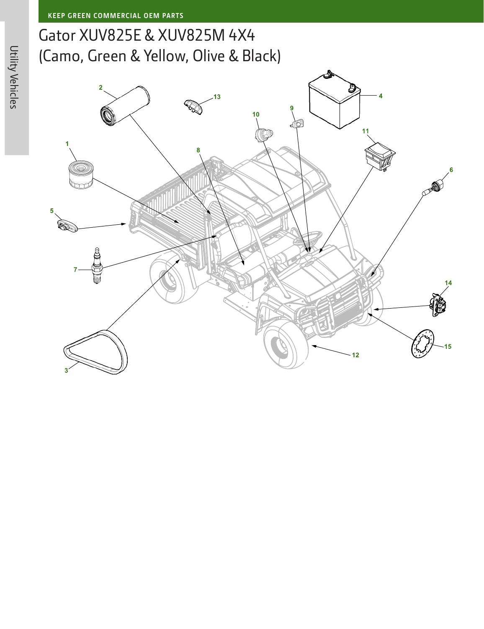## Gator XUV825E & XUV825M 4X4 (Camo, Green & Yellow, Olive & Black)